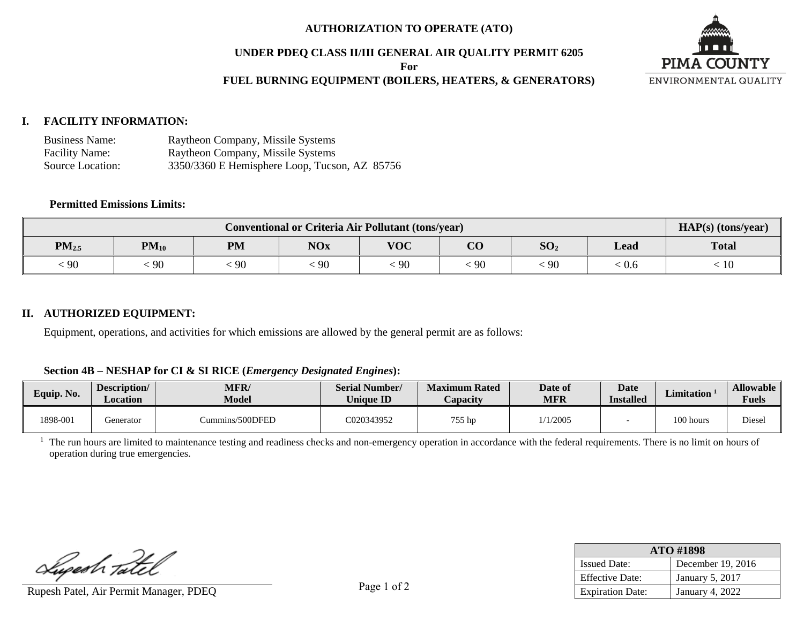### **AUTHORIZATION TO OPERATE (ATO)**

### **UNDER PDEQ CLASS II/III GENERAL AIR QUALITY PERMIT 6205**

**For** 

# **FUEL BURNING EQUIPMENT (BOILERS, HEATERS, & GENERATORS)**



## **I. FACILITY INFORMATION:**

| <b>Business Name:</b> | Raytheon Company, Missile Systems             |
|-----------------------|-----------------------------------------------|
| <b>Facility Name:</b> | Raytheon Company, Missile Systems             |
| Source Location:      | 3350/3360 E Hemisphere Loop, Tucson, AZ 85756 |

#### **Permitted Emissions Limits:**

| <b>Conventional or Criteria Air Pollutant (tons/year)</b> |           |           |            |            |                |                 |       | HAP(s) (tons/year) |
|-----------------------------------------------------------|-----------|-----------|------------|------------|----------------|-----------------|-------|--------------------|
| $PM_{2.5}$                                                | $PM_{10}$ | <b>PM</b> | <b>NOx</b> | <b>VOC</b> | $\Omega$<br>UU | SO <sub>2</sub> | Lead  | <b>Total</b>       |
| $\cdot$ 90                                                | 90        | 90        | 90         | 90         | フ              | $\cdot$ 90      | . V.O | -1 U               |

### **II. AUTHORIZED EQUIPMENT:**

Equipment, operations, and activities for which emissions are allowed by the general permit are as follows:

#### **Section 4B – NESHAP for CI & SI RICE (***Emergency Designated Engines***):**

| Equip. No. | Description/<br>Location | <b>MFR</b><br><b>Model</b> | <b>Serial Number/</b><br><b>Unique ID</b> | <b>Maximum Rated</b><br><i>L</i> apacity | Date of<br>MFR | Date<br><b>Installed</b> | <b>Limitation</b> | <b>Allowable</b><br><b>Fuels</b> |
|------------|--------------------------|----------------------------|-------------------------------------------|------------------------------------------|----------------|--------------------------|-------------------|----------------------------------|
| 1898-001   | Generator                | Cummins/500DFED            | C020343952                                | 755 hp                                   | /1/2005        |                          | 100 hours         | Diesel                           |

<sup>1</sup> The run hours are limited to maintenance testing and readiness checks and non-emergency operation in accordance with the federal requirements. There is no limit on hours of operation during true emergencies.

Superh Tatel

Rupesh Patel, Air Permit Manager, PDEQ rage 1 01 4 Fage 1 01 4 Fage 1 01 4